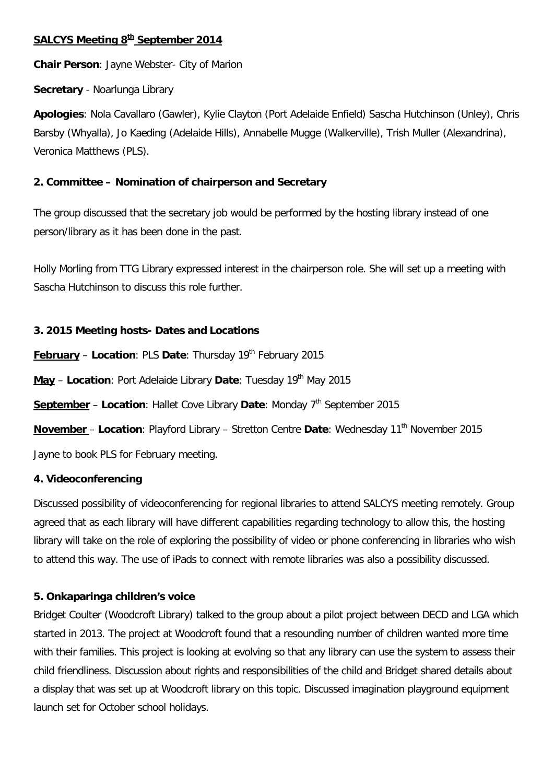# **SALCYS Meeting 8th September 2014**

**Chair Person**: Jayne Webster- City of Marion

**Secretary** - Noarlunga Library

**Apologies**: Nola Cavallaro (Gawler), Kylie Clayton (Port Adelaide Enfield) Sascha Hutchinson (Unley), Chris Barsby (Whyalla), Jo Kaeding (Adelaide Hills), Annabelle Mugge (Walkerville), Trish Muller (Alexandrina), Veronica Matthews (PLS).

# **2. Committee – Nomination of chairperson and Secretary**

The group discussed that the secretary job would be performed by the hosting library instead of one person/library as it has been done in the past.

Holly Morling from TTG Library expressed interest in the chairperson role. She will set up a meeting with Sascha Hutchinson to discuss this role further.

# **3. 2015 Meeting hosts- Dates and Locations**

**February** – Location: PLS Date: Thursday 19<sup>th</sup> February 2015

May - Location: Port Adelaide Library Date: Tuesday 19<sup>th</sup> May 2015

**September** – Location: Hallet Cove Library Date: Monday 7<sup>th</sup> September 2015

**November** - Location: Playford Library - Stretton Centre Date: Wednesday 11<sup>th</sup> November 2015

Jayne to book PLS for February meeting.

# **4. Videoconferencing**

Discussed possibility of videoconferencing for regional libraries to attend SALCYS meeting remotely. Group agreed that as each library will have different capabilities regarding technology to allow this, the hosting library will take on the role of exploring the possibility of video or phone conferencing in libraries who wish to attend this way. The use of iPads to connect with remote libraries was also a possibility discussed.

# **5. Onkaparinga children's voice**

Bridget Coulter (Woodcroft Library) talked to the group about a pilot project between DECD and LGA which started in 2013. The project at Woodcroft found that a resounding number of children wanted more time with their families. This project is looking at evolving so that any library can use the system to assess their child friendliness. Discussion about rights and responsibilities of the child and Bridget shared details about a display that was set up at Woodcroft library on this topic. Discussed imagination playground equipment launch set for October school holidays.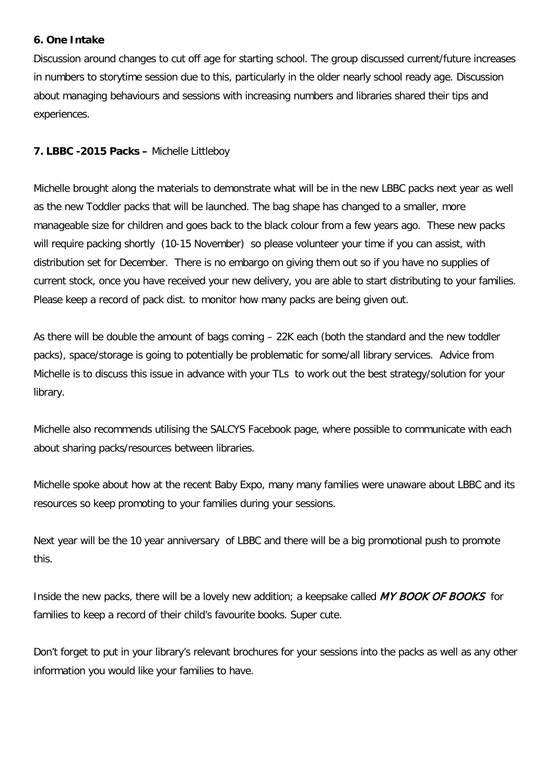### **6. One Intake**

Discussion around changes to cut off age for starting school. The group discussed current/future increases in numbers to storytime session due to this, particularly in the older nearly school ready age. Discussion about managing behaviours and sessions with increasing numbers and libraries shared their tips and experiences.

### **7. LBBC -2015 Packs –** Michelle Littleboy

Michelle brought along the materials to demonstrate what will be in the new LBBC packs next year as well as the new Toddler packs that will be launched. The bag shape has changed to a smaller, more manageable size for children and goes back to the black colour from a few years ago. These new packs will require packing shortly (10-15 November) so please volunteer your time if you can assist, with distribution set for December. There is no embargo on giving them out so if you have no supplies of current stock, once you have received your new delivery, you are able to start distributing to your families. Please keep a record of pack dist. to monitor how many packs are being given out.

As there will be double the amount of bags coming – 22K each (both the standard and the new toddler packs), space/storage is going to potentially be problematic for some/all library services. Advice from Michelle is to discuss this issue in advance with your TLs to work out the best strategy/solution for your library.

Michelle also recommends utilising the SALCYS Facebook page, where possible to communicate with each about sharing packs/resources between libraries.

Michelle spoke about how at the recent Baby Expo, many many families were unaware about LBBC and its resources so keep promoting to your families during your sessions.

Next year will be the 10 year anniversary of LBBC and there will be a big promotional push to promote this.

Inside the new packs, there will be a lovely new addition; a keepsake called MY BOOK OF BOOKS for families to keep a record of their child's favourite books. Super cute.

Don't forget to put in your library's relevant brochures for your sessions into the packs as well as any other information you would like your families to have.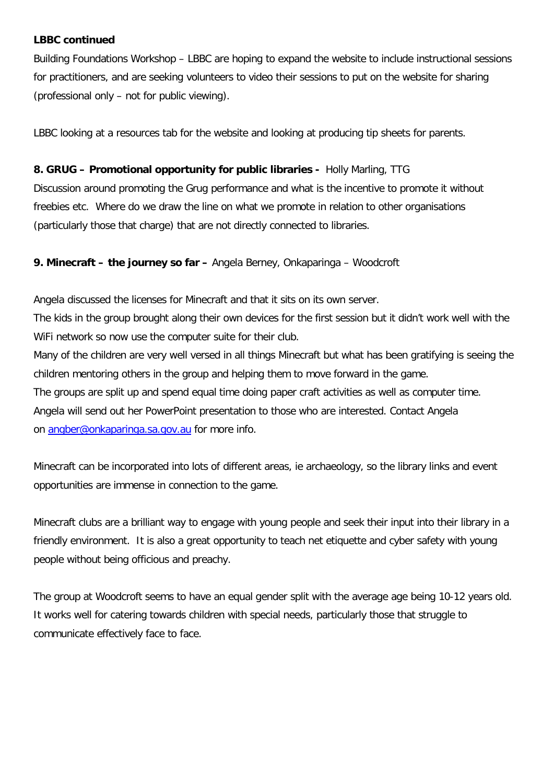#### **LBBC continued**

Building Foundations Workshop – LBBC are hoping to expand the website to include instructional sessions for practitioners, and are seeking volunteers to video their sessions to put on the website for sharing (professional only – not for public viewing).

LBBC looking at a resources tab for the website and looking at producing tip sheets for parents.

### **8. GRUG – Promotional opportunity for public libraries -** Holly Marling, TTG

Discussion around promoting the Grug performance and what is the incentive to promote it without freebies etc. Where do we draw the line on what we promote in relation to other organisations (particularly those that charge) that are not directly connected to libraries.

### **9. Minecraft – the journey so far –** Angela Berney, Onkaparinga – Woodcroft

Angela discussed the licenses for Minecraft and that it sits on its own server.

The kids in the group brought along their own devices for the first session but it didn't work well with the WiFi network so now use the computer suite for their club.

Many of the children are very well versed in all things Minecraft but what has been gratifying is seeing the children mentoring others in the group and helping them to move forward in the game. The groups are split up and spend equal time doing paper craft activities as well as computer time. Angela will send out her PowerPoint presentation to those who are interested. Contact Angela on [angber@onkaparinga.sa.gov.au](mailto:angber@onkaparinga.sa.gov.au) for more info.

Minecraft can be incorporated into lots of different areas, ie archaeology, so the library links and event opportunities are immense in connection to the game.

Minecraft clubs are a brilliant way to engage with young people and seek their input into their library in a friendly environment. It is also a great opportunity to teach net etiquette and cyber safety with young people without being officious and preachy.

The group at Woodcroft seems to have an equal gender split with the average age being 10-12 years old. It works well for catering towards children with special needs, particularly those that struggle to communicate effectively face to face.